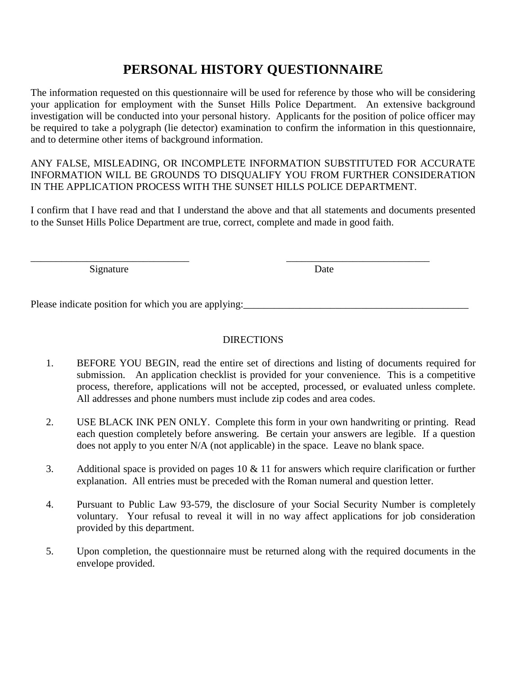## **PERSONAL HISTORY QUESTIONNAIRE**

The information requested on this questionnaire will be used for reference by those who will be considering your application for employment with the Sunset Hills Police Department. An extensive background investigation will be conducted into your personal history. Applicants for the position of police officer may be required to take a polygraph (lie detector) examination to confirm the information in this questionnaire, and to determine other items of background information.

ANY FALSE, MISLEADING, OR INCOMPLETE INFORMATION SUBSTITUTED FOR ACCURATE INFORMATION WILL BE GROUNDS TO DISQUALIFY YOU FROM FURTHER CONSIDERATION IN THE APPLICATION PROCESS WITH THE SUNSET HILLS POLICE DEPARTMENT.

I confirm that I have read and that I understand the above and that all statements and documents presented to the Sunset Hills Police Department are true, correct, complete and made in good faith.

 $\overline{\phantom{a}}$  , and the contract of the contract of the contract of the contract of the contract of the contract of the contract of the contract of the contract of the contract of the contract of the contract of the contrac Signature Date

Please indicate position for which you are applying:

#### DIRECTIONS

- 1. BEFORE YOU BEGIN, read the entire set of directions and listing of documents required for submission. An application checklist is provided for your convenience. This is a competitive process, therefore, applications will not be accepted, processed, or evaluated unless complete. All addresses and phone numbers must include zip codes and area codes.
- 2. USE BLACK INK PEN ONLY. Complete this form in your own handwriting or printing. Read each question completely before answering. Be certain your answers are legible. If a question does not apply to you enter N/A (not applicable) in the space. Leave no blank space.
- 3. Additional space is provided on pages 10 & 11 for answers which require clarification or further explanation. All entries must be preceded with the Roman numeral and question letter.
- 4. Pursuant to Public Law 93-579, the disclosure of your Social Security Number is completely voluntary. Your refusal to reveal it will in no way affect applications for job consideration provided by this department.
- 5. Upon completion, the questionnaire must be returned along with the required documents in the envelope provided.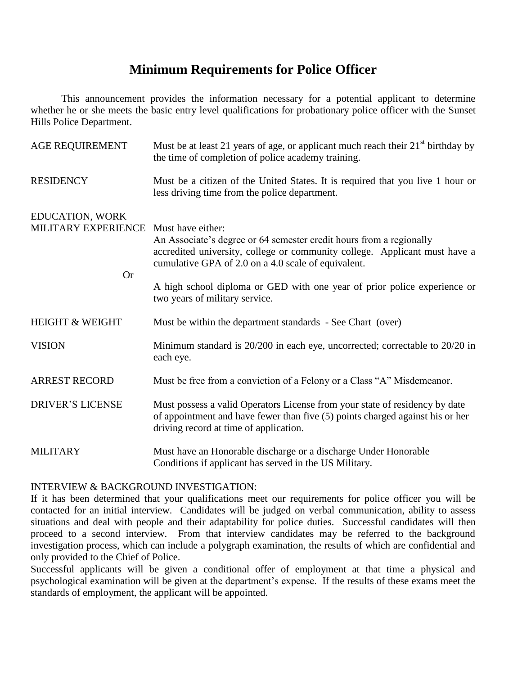### **Minimum Requirements for Police Officer**

This announcement provides the information necessary for a potential applicant to determine whether he or she meets the basic entry level qualifications for probationary police officer with the Sunset Hills Police Department.

| <b>AGE REQUIREMENT</b>                              | Must be at least 21 years of age, or applicant much reach their $21st$ birthday by<br>the time of completion of police academy training.                                                                                                                                                                                                    |
|-----------------------------------------------------|---------------------------------------------------------------------------------------------------------------------------------------------------------------------------------------------------------------------------------------------------------------------------------------------------------------------------------------------|
| <b>RESIDENCY</b>                                    | Must be a citizen of the United States. It is required that you live 1 hour or<br>less driving time from the police department.                                                                                                                                                                                                             |
| EDUCATION, WORK<br>MILITARY EXPERIENCE<br><b>Or</b> | Must have either:<br>An Associate's degree or 64 semester credit hours from a regionally<br>accredited university, college or community college. Applicant must have a<br>cumulative GPA of 2.0 on a 4.0 scale of equivalent.<br>A high school diploma or GED with one year of prior police experience or<br>two years of military service. |
| <b>HEIGHT &amp; WEIGHT</b>                          | Must be within the department standards - See Chart (over)                                                                                                                                                                                                                                                                                  |
| <b>VISION</b>                                       | Minimum standard is 20/200 in each eye, uncorrected; correctable to 20/20 in<br>each eye.                                                                                                                                                                                                                                                   |
| <b>ARREST RECORD</b>                                | Must be free from a conviction of a Felony or a Class "A" Misdemeanor.                                                                                                                                                                                                                                                                      |
| <b>DRIVER'S LICENSE</b>                             | Must possess a valid Operators License from your state of residency by date<br>of appointment and have fewer than five (5) points charged against his or her<br>driving record at time of application.                                                                                                                                      |
| <b>MILITARY</b>                                     | Must have an Honorable discharge or a discharge Under Honorable<br>Conditions if applicant has served in the US Military.                                                                                                                                                                                                                   |

#### INTERVIEW & BACKGROUND INVESTIGATION:

If it has been determined that your qualifications meet our requirements for police officer you will be contacted for an initial interview. Candidates will be judged on verbal communication, ability to assess situations and deal with people and their adaptability for police duties. Successful candidates will then proceed to a second interview. From that interview candidates may be referred to the background investigation process, which can include a polygraph examination, the results of which are confidential and only provided to the Chief of Police.

Successful applicants will be given a conditional offer of employment at that time a physical and psychological examination will be given at the department's expense. If the results of these exams meet the standards of employment, the applicant will be appointed.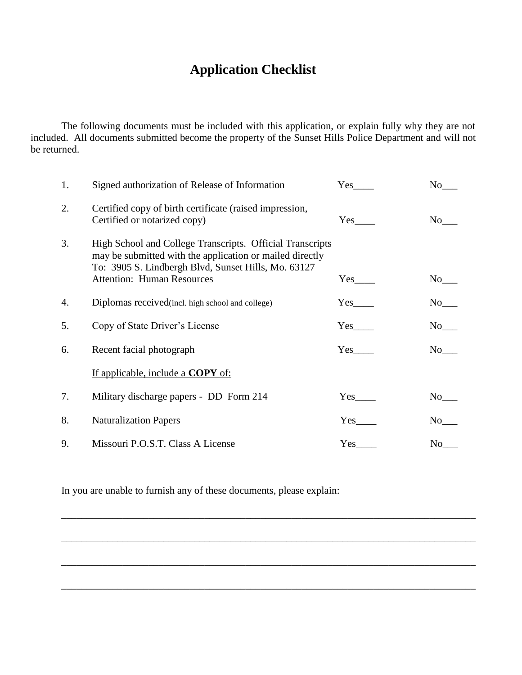# **Application Checklist**

The following documents must be included with this application, or explain fully why they are not included. All documents submitted become the property of the Sunset Hills Police Department and will not be returned.

| 1. | Signed authorization of Release of Information                                                                                                                                                                    | Yes                    | No                  |
|----|-------------------------------------------------------------------------------------------------------------------------------------------------------------------------------------------------------------------|------------------------|---------------------|
| 2. | Certified copy of birth certificate (raised impression,<br>Certified or notarized copy)                                                                                                                           | Yes                    | No                  |
| 3. | High School and College Transcripts. Official Transcripts<br>may be submitted with the application or mailed directly<br>To: 3905 S. Lindbergh Blvd, Sunset Hills, Mo. 63127<br><b>Attention: Human Resources</b> | $Yes$ <sub>_____</sub> | $No$ <sub>___</sub> |
| 4. | Diplomas received (incl. high school and college)                                                                                                                                                                 |                        | $No$ <sub>___</sub> |
| 5. | Copy of State Driver's License                                                                                                                                                                                    | Yes                    | $No$ <sub>___</sub> |
| 6. | Recent facial photograph                                                                                                                                                                                          | Yes                    | No results          |
|    | <u>If applicable, include a COPY of:</u>                                                                                                                                                                          |                        |                     |
| 7. | Military discharge papers - DD Form 214                                                                                                                                                                           |                        |                     |
| 8. | <b>Naturalization Papers</b>                                                                                                                                                                                      | Yes                    | No No               |
| 9. | Missouri P.O.S.T. Class A License                                                                                                                                                                                 | Yes                    | No                  |

\_\_\_\_\_\_\_\_\_\_\_\_\_\_\_\_\_\_\_\_\_\_\_\_\_\_\_\_\_\_\_\_\_\_\_\_\_\_\_\_\_\_\_\_\_\_\_\_\_\_\_\_\_\_\_\_\_\_\_\_\_\_\_\_\_\_\_\_\_\_\_\_\_\_\_\_\_\_\_\_\_

\_\_\_\_\_\_\_\_\_\_\_\_\_\_\_\_\_\_\_\_\_\_\_\_\_\_\_\_\_\_\_\_\_\_\_\_\_\_\_\_\_\_\_\_\_\_\_\_\_\_\_\_\_\_\_\_\_\_\_\_\_\_\_\_\_\_\_\_\_\_\_\_\_\_\_\_\_\_\_\_\_

\_\_\_\_\_\_\_\_\_\_\_\_\_\_\_\_\_\_\_\_\_\_\_\_\_\_\_\_\_\_\_\_\_\_\_\_\_\_\_\_\_\_\_\_\_\_\_\_\_\_\_\_\_\_\_\_\_\_\_\_\_\_\_\_\_\_\_\_\_\_\_\_\_\_\_\_\_\_\_\_\_

\_\_\_\_\_\_\_\_\_\_\_\_\_\_\_\_\_\_\_\_\_\_\_\_\_\_\_\_\_\_\_\_\_\_\_\_\_\_\_\_\_\_\_\_\_\_\_\_\_\_\_\_\_\_\_\_\_\_\_\_\_\_\_\_\_\_\_\_\_\_\_\_\_\_\_\_\_\_\_\_\_

In you are unable to furnish any of these documents, please explain: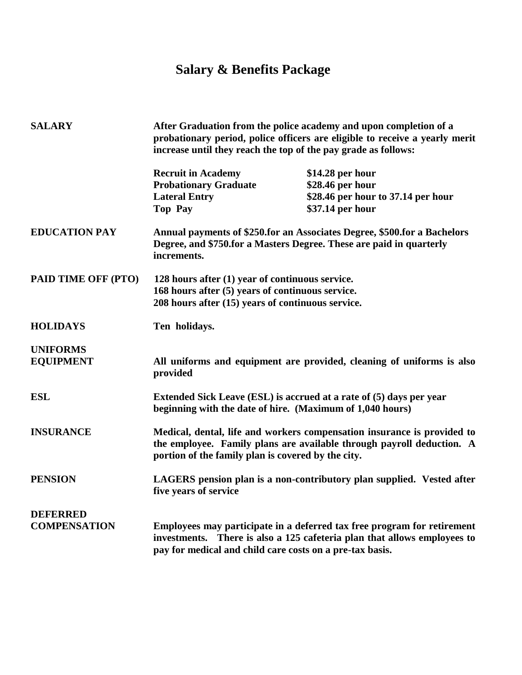# **Salary & Benefits Package**

| <b>SALARY</b>                       |                                                                                                                                                          | After Graduation from the police academy and upon completion of a<br>probationary period, police officers are eligible to receive a yearly merit<br>increase until they reach the top of the pay grade as follows: |  |
|-------------------------------------|----------------------------------------------------------------------------------------------------------------------------------------------------------|--------------------------------------------------------------------------------------------------------------------------------------------------------------------------------------------------------------------|--|
|                                     | <b>Recruit in Academy</b><br><b>Probationary Graduate</b><br><b>Lateral Entry</b><br><b>Top Pay</b>                                                      | $$14.28$ per hour<br>\$28.46 per hour<br>\$28.46 per hour to 37.14 per hour<br>\$37.14 per hour                                                                                                                    |  |
| <b>EDUCATION PAY</b>                | increments.                                                                                                                                              | Annual payments of \$250.for an Associates Degree, \$500.for a Bachelors<br>Degree, and \$750.for a Masters Degree. These are paid in quarterly                                                                    |  |
| PAID TIME OFF (PTO)                 | 128 hours after (1) year of continuous service.<br>168 hours after (5) years of continuous service.<br>208 hours after (15) years of continuous service. |                                                                                                                                                                                                                    |  |
| <b>HOLIDAYS</b>                     | Ten holidays.                                                                                                                                            |                                                                                                                                                                                                                    |  |
| <b>UNIFORMS</b><br><b>EQUIPMENT</b> | provided                                                                                                                                                 | All uniforms and equipment are provided, cleaning of uniforms is also                                                                                                                                              |  |
| <b>ESL</b>                          |                                                                                                                                                          | Extended Sick Leave (ESL) is accrued at a rate of (5) days per year<br>beginning with the date of hire. (Maximum of 1,040 hours)                                                                                   |  |
| <b>INSURANCE</b>                    | portion of the family plan is covered by the city.                                                                                                       | Medical, dental, life and workers compensation insurance is provided to<br>the employee. Family plans are available through payroll deduction. A                                                                   |  |
| <b>PENSION</b>                      | five years of service                                                                                                                                    | LAGERS pension plan is a non-contributory plan supplied. Vested after                                                                                                                                              |  |
| <b>DEFERRED</b>                     |                                                                                                                                                          |                                                                                                                                                                                                                    |  |
| <b>COMPENSATION</b>                 | investments.<br>pay for medical and child care costs on a pre-tax basis.                                                                                 | Employees may participate in a deferred tax free program for retirement<br>There is also a 125 cafeteria plan that allows employees to                                                                             |  |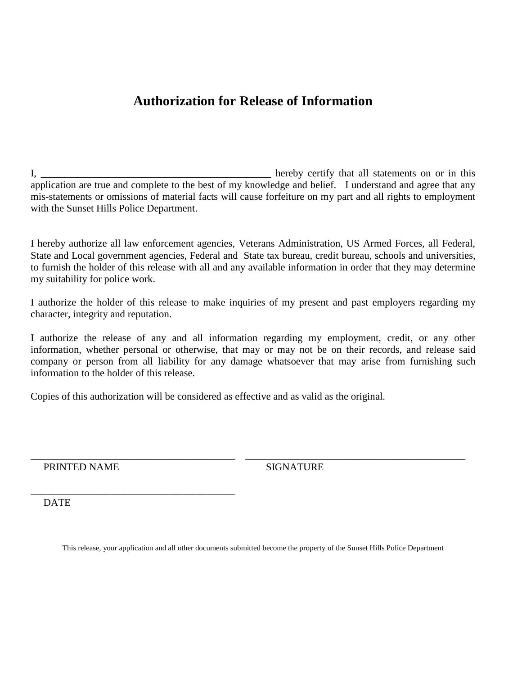## **Authorization for Release of Information**

I, the end of the statements on or in this hereby certify that all statements on or in this application are true and complete to the best of my knowledge and belief. I understand and agree that any mis-statements or omissions of material facts will cause forfeiture on my part and all rights to employment with the Sunset Hills Police Department.

I hereby authorize all law enforcement agencies, Veterans Administration, US Armed Forces, all Federal, State and Local government agencies, Federal and State tax bureau, credit bureau, schools and universities, to furnish the holder of this release with all and any available information in order that they may determine my suitability for police work.

I authorize the holder of this release to make inquiries of my present and past employers regarding my character, integrity and reputation.

I authorize the release of any and all information regarding my employment, credit, or any other information, whether personal or otherwise, that may or may not be on their records, and release said company or person from all liability for any damage whatsoever that may arise from furnishing such information to the holder of this release.

Copies of this authorization will be considered as effective and as valid as the original.

PRINTED NAME SIGNATURE

\_\_\_\_\_\_\_\_\_\_\_\_\_\_\_\_\_\_\_\_\_\_\_\_\_\_\_\_\_\_\_\_\_\_\_\_\_\_\_\_

**DATE** 

This release, your application and all other documents submitted become the property of the Sunset Hills Police Department

\_\_\_\_\_\_\_\_\_\_\_\_\_\_\_\_\_\_\_\_\_\_\_\_\_\_\_\_\_\_\_\_\_\_\_\_\_\_\_\_ \_\_\_\_\_\_\_\_\_\_\_\_\_\_\_\_\_\_\_\_\_\_\_\_\_\_\_\_\_\_\_\_\_\_\_\_\_\_\_\_\_\_\_